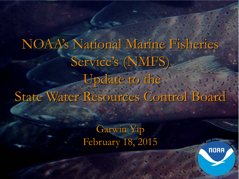NOAA's National Marine Fisheries Service's (NMFS) Update to the State Water Resources Control Board

> Garwin Yip February 18, 2015

> > $\frac{1}{2}$

**NOAA**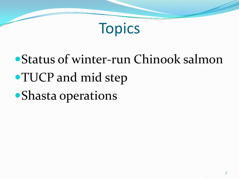

# Status of winter-run Chinook salmon TUCP and mid step Shasta operations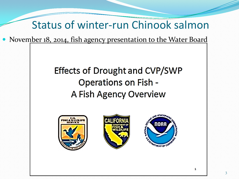#### Status of winter-run Chinook salmon

• November 18, 2014, fish agency presentation to the Water Board

#### **Effects of Drought and CVP/SWP Operations on Fish -**A Fish Agency Overview





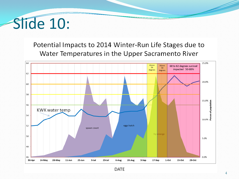# Slide 10:

Potential Impacts to 2014 Winter-Run Life Stages due to Water Temperatures in the Upper Sacramento River



**DATE**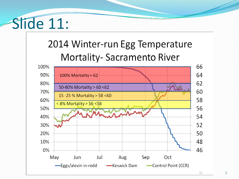# Slide 11:

### 2014 Winter-run Egg Temperature **Mortality-Sacramento River**

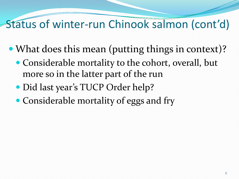- What does this mean (putting things in context)?
	- Considerable mortality to the cohort, overall, but more so in the latter part of the run
	- Did last year's TUCP Order help?
	- Considerable mortality of eggs and fry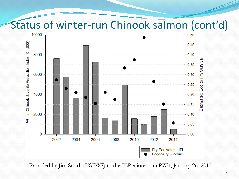

Provided by Jim Smith (USFWS) to the IEP winter-run PWT, January 26, 2015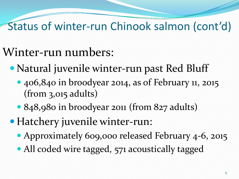## Winter-run numbers:

- Natural juvenile winter-run past Red Bluff
	- 406,840 in broodyear 2014, as of February 11, 2015 (from 3,015 adults)
	- 848,980 in broodyear 2011 (from 827 adults)
- Hatchery juvenile winter-run:
	- Approximately 609,000 released February 4-6, 2015
	- All coded wire tagged, 571 acoustically tagged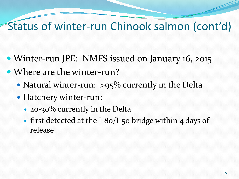- Winter-run JPE: NMFS issued on January 16, 2015
- Where are the winter-run?
	- Natural winter-run: >95% currently in the Delta
	- Hatchery winter-run:
		- 20-30% currently in the Delta
		- first detected at the I-80/I-50 bridge within 4 days of release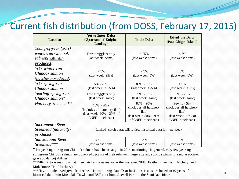#### Current fish distribution (from DOSS, February 17, 2015)

| <b>Location</b>                                                            | <b>Yet to Enter Delta</b><br>(Upstream of Knights<br>Landing)                                | In the Delta                                                                                 | <b>Exited the Delta</b><br>(Past Chipps Island)                                               |
|----------------------------------------------------------------------------|----------------------------------------------------------------------------------------------|----------------------------------------------------------------------------------------------|-----------------------------------------------------------------------------------------------|
| Young-of-year (YOY)<br>winter-run Chinook<br>salmon(naturally<br>produced) | Few stragglers only<br>(last week: Same)                                                     | >95%<br>(last week: same)                                                                    | $< 5\%$<br>(last week: same)                                                                  |
| YOY winter-run<br>Chinook salmon<br>(hatchery-produced)                    | ~275%<br>$last week: 95\%)$                                                                  | $-25%$<br>$last week: 5\%)$                                                                  | 0%<br>$last week: 0\%)$                                                                       |
| YOY spring-run<br>Chinook salmon                                           | $5\% - 20\%$<br>(last week: $<$ 25%)                                                         | $80\% - 95\%$<br>$\text{(last week: } > 75\%)$                                               | $< 5\%$<br>(last week: $<$ 5%)                                                                |
| Yearling spring-run<br>Chinook salmon*                                     | Few stragglers only<br>(last week: same)                                                     | 75% - 85%<br>(last week: same)                                                               | 15% - 25%<br>(last week: same)                                                                |
| Hatchery Steelhead**                                                       | $10\% - 20\%$<br>(Includes all hatchery fish)<br>(last week: 10% - 20% of<br>CNFH steelhead) | 80% - 90%<br>(Includes all hatchery<br>fish)<br>(last week: 80% - 90%)<br>of CNFH steelhead) | Few to $< 5\%$<br>(Includes all hatchery<br>fish)<br>(last week: $~5\%$ of<br>CNFH steelhead) |
| Sacramento River<br>Steelhead (naturally-<br><i>produced</i> )             | Limited catch data; will review historical data for next week                                |                                                                                              |                                                                                               |
| San Joaquin River<br>Steelhead***                                          | $~180\%$<br>(last week: same)                                                                | $-20%$<br>(last week: same)                                                                  | 0%<br>(last week: same)                                                                       |

**\*** No yearling spring-run Chinook salmon have been caught in 2014 monitoring. In general, very few yearling spring-run Chinook salmon are observed because of their relatively large size and strong swimming (and associated gear avoidance) abilities.

\*\*Difficult to assess now that three hatchery releases are in the system (CNFH, Feather River Fish Hatchery, and Mokelumne Fish Hatchery).

\*\*\*Have not observed juvenile steelhead in monitoring data; Distribution estimates are based on 10 years of historical data from Mossdale Trawls, and RST data from Caswell Park on the Stanislaus River. 10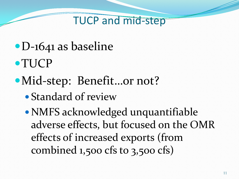#### TUCP and mid-step

- D-1641 as baseline
- TUCP
- Mid-step: Benefit…or not?
	- Standard of review
	- NMFS acknowledged unquantifiable adverse effects, but focused on the OMR effects of increased exports (from combined 1,500 cfs to 3,500 cfs)